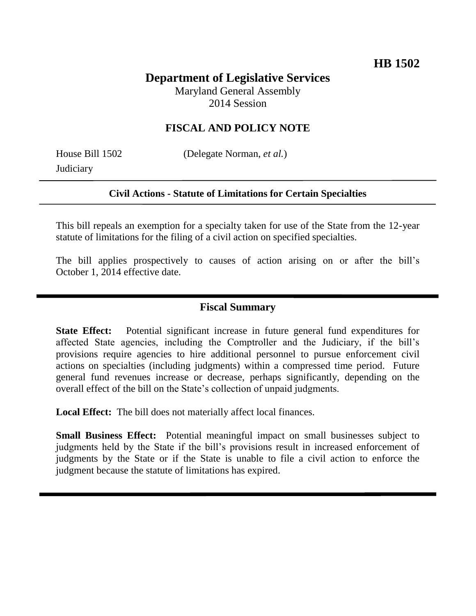# **Department of Legislative Services**

Maryland General Assembly 2014 Session

### **FISCAL AND POLICY NOTE**

**Judiciary** 

House Bill 1502 (Delegate Norman, *et al.*)

#### **Civil Actions - Statute of Limitations for Certain Specialties**

This bill repeals an exemption for a specialty taken for use of the State from the 12-year statute of limitations for the filing of a civil action on specified specialties.

The bill applies prospectively to causes of action arising on or after the bill's October 1, 2014 effective date.

#### **Fiscal Summary**

**State Effect:** Potential significant increase in future general fund expenditures for affected State agencies, including the Comptroller and the Judiciary, if the bill's provisions require agencies to hire additional personnel to pursue enforcement civil actions on specialties (including judgments) within a compressed time period. Future general fund revenues increase or decrease, perhaps significantly, depending on the overall effect of the bill on the State's collection of unpaid judgments.

**Local Effect:** The bill does not materially affect local finances.

**Small Business Effect:** Potential meaningful impact on small businesses subject to judgments held by the State if the bill's provisions result in increased enforcement of judgments by the State or if the State is unable to file a civil action to enforce the judgment because the statute of limitations has expired.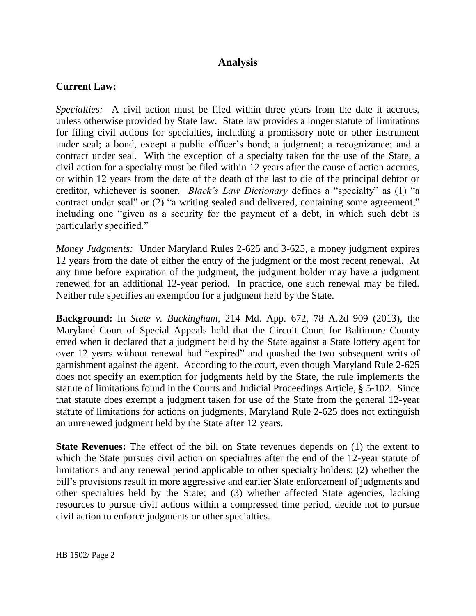#### **Analysis**

#### **Current Law:**

*Specialties:* A civil action must be filed within three years from the date it accrues, unless otherwise provided by State law*.* State law provides a longer statute of limitations for filing civil actions for specialties, including a promissory note or other instrument under seal; a bond, except a public officer's bond; a judgment; a recognizance; and a contract under seal. With the exception of a specialty taken for the use of the State, a civil action for a specialty must be filed within 12 years after the cause of action accrues, or within 12 years from the date of the death of the last to die of the principal debtor or creditor, whichever is sooner. *Black's Law Dictionary* defines a "specialty" as (1) "a contract under seal" or (2) "a writing sealed and delivered, containing some agreement," including one "given as a security for the payment of a debt, in which such debt is particularly specified."

*Money Judgments:* Under Maryland Rules 2-625 and 3-625, a money judgment expires 12 years from the date of either the entry of the judgment or the most recent renewal. At any time before expiration of the judgment, the judgment holder may have a judgment renewed for an additional 12-year period. In practice, one such renewal may be filed. Neither rule specifies an exemption for a judgment held by the State.

**Background:** In *State v. Buckingham*, 214 Md. App. 672, 78 A.2d 909 (2013), the Maryland Court of Special Appeals held that the Circuit Court for Baltimore County erred when it declared that a judgment held by the State against a State lottery agent for over 12 years without renewal had "expired" and quashed the two subsequent writs of garnishment against the agent. According to the court, even though Maryland Rule 2-625 does not specify an exemption for judgments held by the State, the rule implements the statute of limitations found in the Courts and Judicial Proceedings Article, § 5-102. Since that statute does exempt a judgment taken for use of the State from the general 12-year statute of limitations for actions on judgments, Maryland Rule 2-625 does not extinguish an unrenewed judgment held by the State after 12 years.

**State Revenues:** The effect of the bill on State revenues depends on (1) the extent to which the State pursues civil action on specialties after the end of the 12-year statute of limitations and any renewal period applicable to other specialty holders; (2) whether the bill's provisions result in more aggressive and earlier State enforcement of judgments and other specialties held by the State; and (3) whether affected State agencies, lacking resources to pursue civil actions within a compressed time period, decide not to pursue civil action to enforce judgments or other specialties.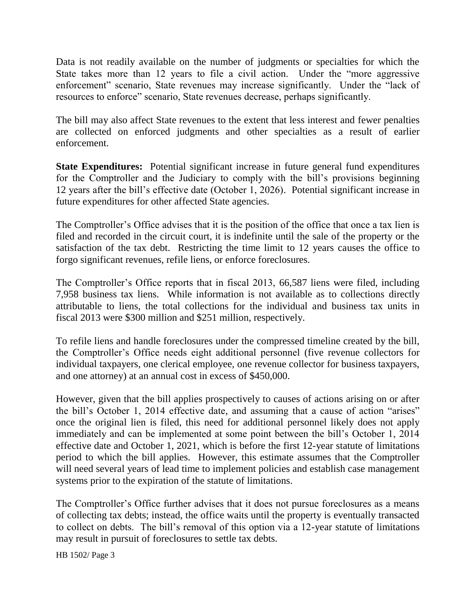Data is not readily available on the number of judgments or specialties for which the State takes more than 12 years to file a civil action. Under the "more aggressive enforcement" scenario, State revenues may increase significantly. Under the "lack of resources to enforce" scenario, State revenues decrease, perhaps significantly.

The bill may also affect State revenues to the extent that less interest and fewer penalties are collected on enforced judgments and other specialties as a result of earlier enforcement.

**State Expenditures:** Potential significant increase in future general fund expenditures for the Comptroller and the Judiciary to comply with the bill's provisions beginning 12 years after the bill's effective date (October 1, 2026). Potential significant increase in future expenditures for other affected State agencies.

The Comptroller's Office advises that it is the position of the office that once a tax lien is filed and recorded in the circuit court, it is indefinite until the sale of the property or the satisfaction of the tax debt. Restricting the time limit to 12 years causes the office to forgo significant revenues, refile liens, or enforce foreclosures.

The Comptroller's Office reports that in fiscal 2013, 66,587 liens were filed, including 7,958 business tax liens. While information is not available as to collections directly attributable to liens, the total collections for the individual and business tax units in fiscal 2013 were \$300 million and \$251 million, respectively.

To refile liens and handle foreclosures under the compressed timeline created by the bill, the Comptroller's Office needs eight additional personnel (five revenue collectors for individual taxpayers, one clerical employee, one revenue collector for business taxpayers, and one attorney) at an annual cost in excess of \$450,000.

However, given that the bill applies prospectively to causes of actions arising on or after the bill's October 1, 2014 effective date, and assuming that a cause of action "arises" once the original lien is filed, this need for additional personnel likely does not apply immediately and can be implemented at some point between the bill's October 1, 2014 effective date and October 1, 2021, which is before the first 12-year statute of limitations period to which the bill applies. However, this estimate assumes that the Comptroller will need several years of lead time to implement policies and establish case management systems prior to the expiration of the statute of limitations.

The Comptroller's Office further advises that it does not pursue foreclosures as a means of collecting tax debts; instead, the office waits until the property is eventually transacted to collect on debts. The bill's removal of this option via a 12-year statute of limitations may result in pursuit of foreclosures to settle tax debts.

HB 1502/ Page 3